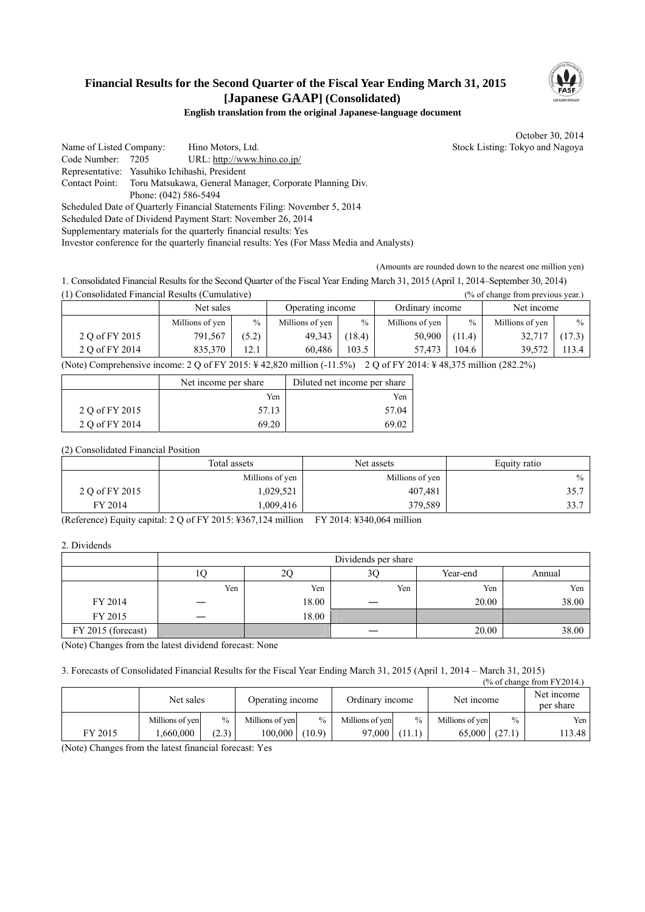## **Financial Results for the Second Quarter of the Fiscal Year Ending March 31, 2015 [Japanese GAAP] (Consolidated)**



### **English translation from the original Japanese-language document**

October 30, 2014

Name of Listed Company: Hino Motors, Ltd. Stock Listing: Tokyo and Nagoya Code Number: 7205 URL: http://www.hino.co.jp/ Representative: Yasuhiko Ichihashi, President Contact Point: Toru Matsukawa, General Manager, Corporate Planning Div. Phone: (042) 586-5494 Scheduled Date of Quarterly Financial Statements Filing: November 5, 2014

Scheduled Date of Dividend Payment Start: November 26, 2014

Supplementary materials for the quarterly financial results: Yes

Investor conference for the quarterly financial results: Yes (For Mass Media and Analysts)

(Amounts are rounded down to the nearest one million yen)

1. Consolidated Financial Results for the Second Quarter of the Fiscal Year Ending March 31, 2015 (April 1, 2014–September 30, 2014) (1) Consolidated Financial Results (Cumulative) (% of change from previous year.)

|                | ------------    |       |                  | $1000$ and $1000$ and $1000$ and $1000$ and $1000$ and $1000$ |                 |        |                 |        |
|----------------|-----------------|-------|------------------|---------------------------------------------------------------|-----------------|--------|-----------------|--------|
|                | Net sales       |       | Operating income |                                                               | Ordinary income |        | Net income      |        |
|                | Millions of yen | $\%$  | Millions of yen  | $\%$                                                          | Millions of yen | $\%$   | Millions of yen | $\%$   |
| 2 Q of FY 2015 | 791,567         | (5.2) | 49,343           | (18.4)                                                        | 50,900          | (11.4) | 32.717          | (17.3) |
| 2 Q of FY 2014 | 835.370         | 14.1  | 60.486           | 103.5                                                         | 57.473          | 104.6  | 39,572          | 113.4  |

(Note) Comprehensive income: 2 Q of FY 2015: ¥ 42,820 million (-11.5%) 2 Q of FY 2014: ¥ 48,375 million (282.2%)

|                | Net income per share | Diluted net income per share |
|----------------|----------------------|------------------------------|
|                | Yen                  | Yen                          |
| 2 Q of FY 2015 | 57.13                | 57.04                        |
| 2 Q of FY 2014 | 69.20                | 69 O.                        |

(2) Consolidated Financial Position

|                | Total assets    | Net assets      |      |
|----------------|-----------------|-----------------|------|
|                | Millions of yen | Millions of yen | $\%$ |
| 2 Q of FY 2015 | 1,029,521       | 407,481         | 35.7 |
| FY 2014        | .009,416        | 379,589         | 33.7 |

(Reference) Equity capital: 2 Q of FY 2015: ¥367,124 million FY 2014: ¥340,064 million

2. Dividends

|                    | Dividends per share |       |     |          |        |  |  |
|--------------------|---------------------|-------|-----|----------|--------|--|--|
|                    | 10                  | 2С    | 3Q  | Year-end | Annual |  |  |
|                    | Yen                 | Yen   | Yen | Yen      | Yen    |  |  |
| FY 2014            |                     | 18.00 |     | 20.00    | 38.00  |  |  |
| FY 2015            |                     | 18.00 |     |          |        |  |  |
| FY 2015 (forecast) |                     |       |     | 20.00    | 38.00  |  |  |

(Note) Changes from the latest dividend forecast: None

3. Forecasts of Consolidated Financial Results for the Fiscal Year Ending March 31, 2015 (April 1, 2014 – March 31, 2015)

|         |                 |               |                  |               |                 |               |                 |               | $\frac{9}{6}$ of change from FY2014.) |
|---------|-----------------|---------------|------------------|---------------|-----------------|---------------|-----------------|---------------|---------------------------------------|
|         | Net sales       |               | Operating income |               | Ordinary income |               | Net income      |               | Net income<br>per share               |
|         | Millions of yen | $\frac{0}{0}$ | Millions of yen  | $\frac{0}{0}$ | Millions of yen | $\frac{0}{0}$ | Millions of yen | $\frac{0}{0}$ | Yen                                   |
| FY 2015 | .660.000        | (2.3)         | 100.000          | (10.9)        | 97,000          | (11.1)        | 65,000          | (27.1)        | 113.48                                |

(Note) Changes from the latest financial forecast: Yes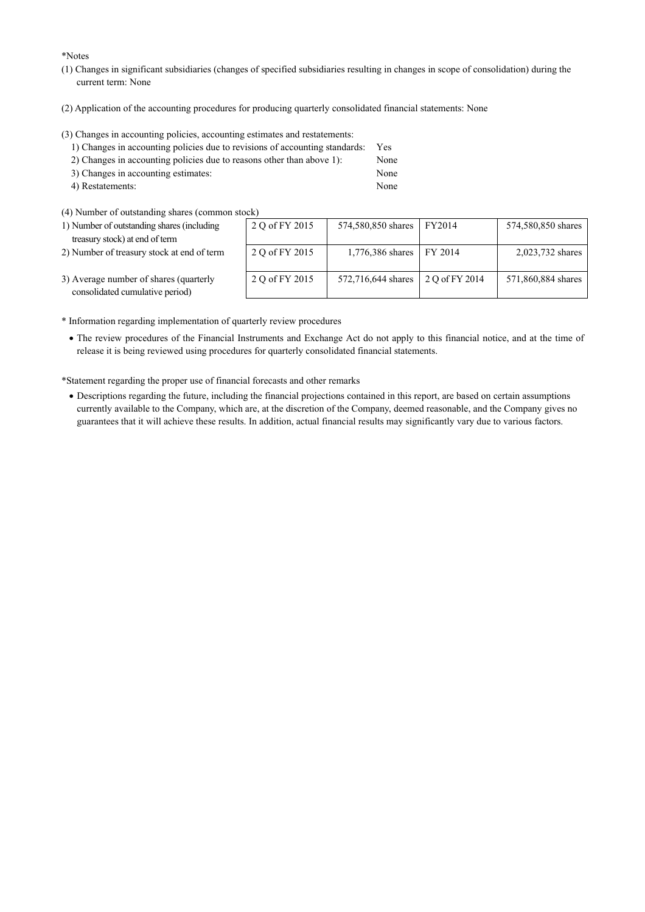\*Notes

- (1) Changes in significant subsidiaries (changes of specified subsidiaries resulting in changes in scope of consolidation) during the current term: None
- (2) Application of the accounting procedures for producing quarterly consolidated financial statements: None

(3) Changes in accounting policies, accounting estimates and restatements:

| 1) Changes in accounting policies due to revisions of accounting standards: | <b>Yes</b> |
|-----------------------------------------------------------------------------|------------|
| 2) Changes in accounting policies due to reasons other than above 1):       | None       |
| 3) Changes in accounting estimates:                                         | None       |
| 4) Restatements:                                                            | None       |

 $(4)$  Number of outstanding shares (common stock)

| 1) Number of outstanding shares (including | 200 |
|--------------------------------------------|-----|
| treasury stock) at end of term             |     |

2) Number of treasury stock at end of term

| tock)          |                    |                |                    |
|----------------|--------------------|----------------|--------------------|
| 2 Q of FY 2015 | 574,580,850 shares | FY2014         | 574,580,850 shares |
| 2 Q of FY 2015 | 1,776,386 shares   | FY 2014        | 2,023,732 shares   |
| 2 Q of FY 2015 | 572,716,644 shares | 2 O of FY 2014 | 571,860,884 shares |

- 3) Average number of shares (quarterly consolidated cumulative period)
- \* Information regarding implementation of quarterly review procedures
	- The review procedures of the Financial Instruments and Exchange Act do not apply to this financial notice, and at the time of release it is being reviewed using procedures for quarterly consolidated financial statements.

\*Statement regarding the proper use of financial forecasts and other remarks

 Descriptions regarding the future, including the financial projections contained in this report, are based on certain assumptions currently available to the Company, which are, at the discretion of the Company, deemed reasonable, and the Company gives no guarantees that it will achieve these results. In addition, actual financial results may significantly vary due to various factors.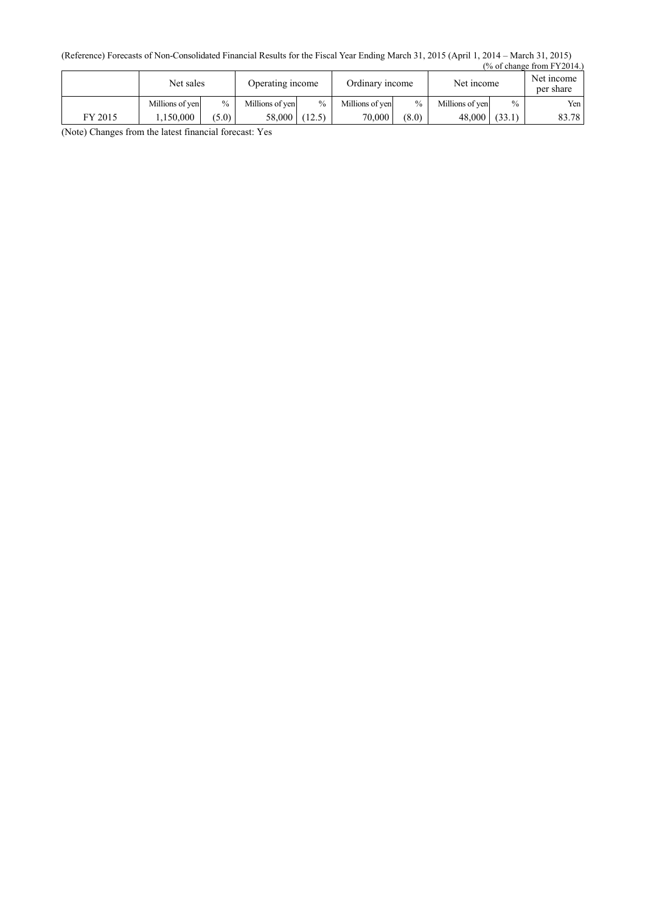(Reference) Forecasts of Non-Consolidated Financial Results for the Fiscal Year Ending March 31, 2015 (April 1, 2014 – March 31, 2015) (% of change from FY2014.)

|         | Net sales       |               | Operating income |               | Ordinary income |       | Net income      |        | Net income<br>per share |
|---------|-----------------|---------------|------------------|---------------|-----------------|-------|-----------------|--------|-------------------------|
|         | Millions of yen | $\frac{0}{0}$ | Millions of yen  | $\frac{0}{0}$ | Millions of yen | $\%$  | Millions of ven | $\%$   | Yen                     |
| FY 2015 | .150.000        | (5.0)         | 58.000           | (12.5)        | 70,000          | (8.0) | 48,000          | (33.1) | 83.78                   |

(Note) Changes from the latest financial forecast: Yes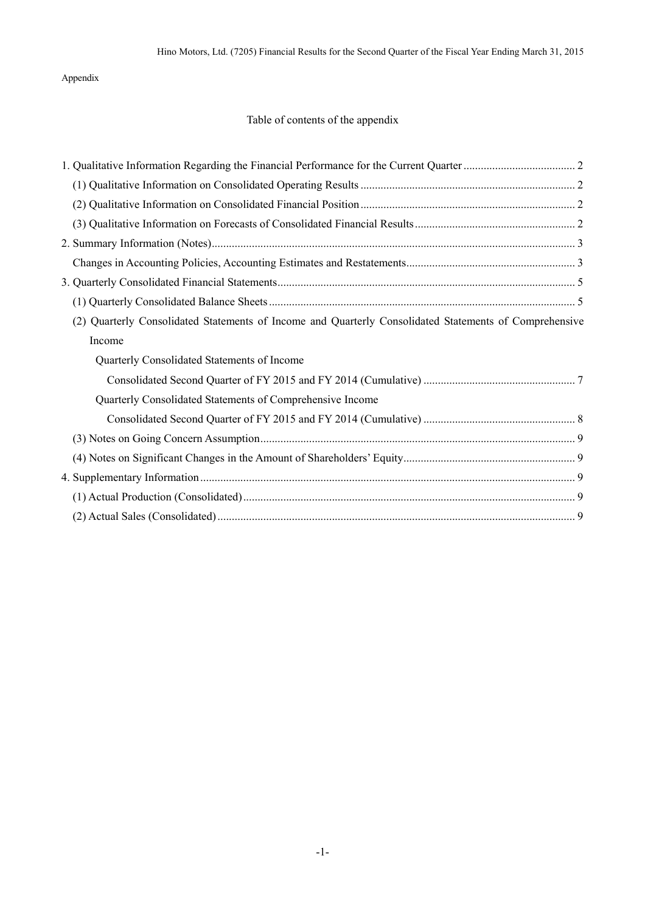## Appendix

# Table of contents of the appendix

| (2) Quarterly Consolidated Statements of Income and Quarterly Consolidated Statements of Comprehensive |  |
|--------------------------------------------------------------------------------------------------------|--|
| Income                                                                                                 |  |
| Quarterly Consolidated Statements of Income                                                            |  |
|                                                                                                        |  |
| Quarterly Consolidated Statements of Comprehensive Income                                              |  |
|                                                                                                        |  |
|                                                                                                        |  |
|                                                                                                        |  |
|                                                                                                        |  |
|                                                                                                        |  |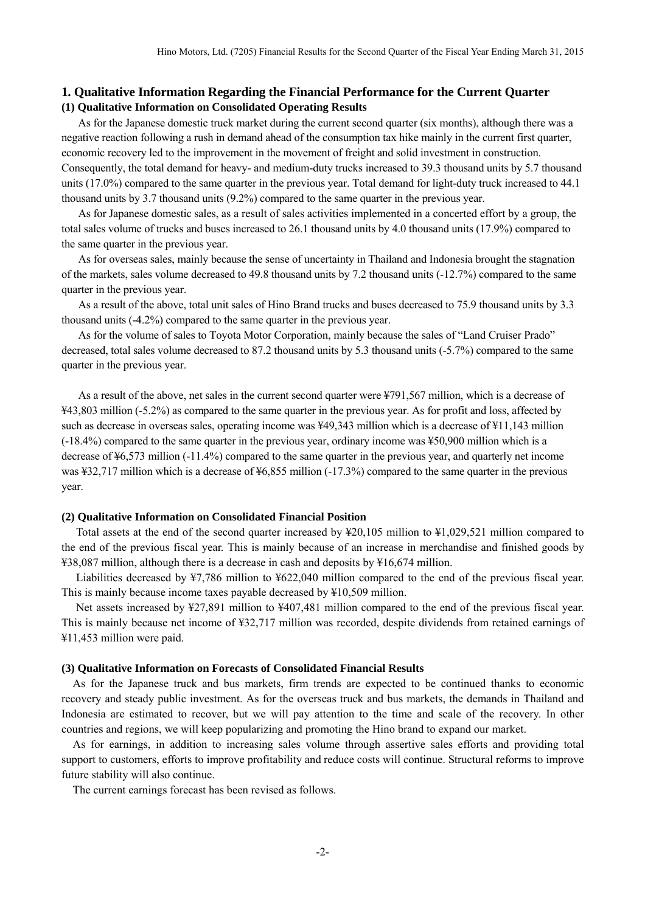## <span id="page-4-1"></span><span id="page-4-0"></span>**1. Qualitative Information Regarding the Financial Performance for the Current Quarter (1) Qualitative Information on Consolidated Operating Results**

As for the Japanese domestic truck market during the current second quarter (six months), although there was a negative reaction following a rush in demand ahead of the consumption tax hike mainly in the current first quarter, economic recovery led to the improvement in the movement of freight and solid investment in construction. Consequently, the total demand for heavy- and medium-duty trucks increased to 39.3 thousand units by 5.7 thousand units (17.0%) compared to the same quarter in the previous year. Total demand for light-duty truck increased to 44.1 thousand units by 3.7 thousand units (9.2%) compared to the same quarter in the previous year.

As for Japanese domestic sales, as a result of sales activities implemented in a concerted effort by a group, the total sales volume of trucks and buses increased to 26.1 thousand units by 4.0 thousand units (17.9%) compared to the same quarter in the previous year.

As for overseas sales, mainly because the sense of uncertainty in Thailand and Indonesia brought the stagnation of the markets, sales volume decreased to 49.8 thousand units by 7.2 thousand units (-12.7%) compared to the same quarter in the previous year.

As a result of the above, total unit sales of Hino Brand trucks and buses decreased to 75.9 thousand units by 3.3 thousand units (-4.2%) compared to the same quarter in the previous year.

As for the volume of sales to Toyota Motor Corporation, mainly because the sales of "Land Cruiser Prado" decreased, total sales volume decreased to 87.2 thousand units by 5.3 thousand units (-5.7%) compared to the same quarter in the previous year.

As a result of the above, net sales in the current second quarter were ¥791,567 million, which is a decrease of ¥43,803 million (-5.2%) as compared to the same quarter in the previous year. As for profit and loss, affected by such as decrease in overseas sales, operating income was ¥49,343 million which is a decrease of ¥11,143 million (-18.4%) compared to the same quarter in the previous year, ordinary income was ¥50,900 million which is a decrease of ¥6,573 million (-11.4%) compared to the same quarter in the previous year, and quarterly net income was ¥32,717 million which is a decrease of ¥6,855 million (-17.3%) compared to the same quarter in the previous year.

### <span id="page-4-2"></span>**(2) Qualitative Information on Consolidated Financial Position**

Total assets at the end of the second quarter increased by ¥20,105 million to ¥1,029,521 million compared to the end of the previous fiscal year. This is mainly because of an increase in merchandise and finished goods by ¥38,087 million, although there is a decrease in cash and deposits by ¥16,674 million.

Liabilities decreased by ¥7,786 million to ¥622,040 million compared to the end of the previous fiscal year. This is mainly because income taxes payable decreased by ¥10,509 million.

Net assets increased by ¥27,891 million to ¥407,481 million compared to the end of the previous fiscal year. This is mainly because net income of ¥32,717 million was recorded, despite dividends from retained earnings of ¥11,453 million were paid.

#### <span id="page-4-3"></span>**(3) Qualitative Information on Forecasts of Consolidated Financial Results**

As for the Japanese truck and bus markets, firm trends are expected to be continued thanks to economic recovery and steady public investment. As for the overseas truck and bus markets, the demands in Thailand and Indonesia are estimated to recover, but we will pay attention to the time and scale of the recovery. In other countries and regions, we will keep popularizing and promoting the Hino brand to expand our market.

As for earnings, in addition to increasing sales volume through assertive sales efforts and providing total support to customers, efforts to improve profitability and reduce costs will continue. Structural reforms to improve future stability will also continue.

The current earnings forecast has been revised as follows.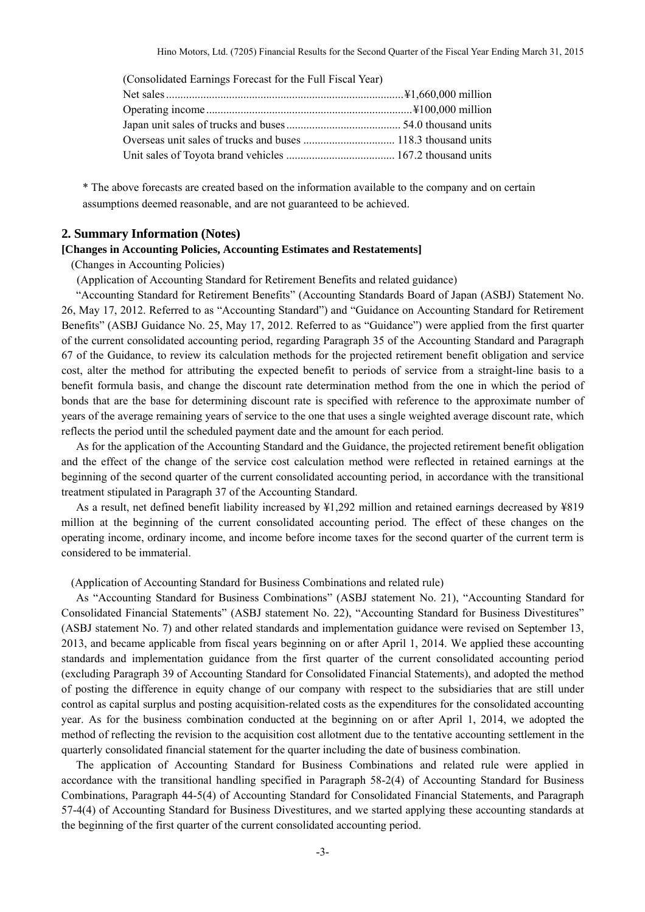| (Consolidated Earnings Forecast for the Full Fiscal Year) |  |
|-----------------------------------------------------------|--|
|                                                           |  |
|                                                           |  |
|                                                           |  |
|                                                           |  |
|                                                           |  |

\* The above forecasts are created based on the information available to the company and on certain assumptions deemed reasonable, and are not guaranteed to be achieved.

### <span id="page-5-0"></span>**2. Summary Information (Notes)**

### <span id="page-5-1"></span>**[Changes in Accounting Policies, Accounting Estimates and Restatements]**

(Changes in Accounting Policies)

(Application of Accounting Standard for Retirement Benefits and related guidance)

"Accounting Standard for Retirement Benefits" (Accounting Standards Board of Japan (ASBJ) Statement No. 26, May 17, 2012. Referred to as "Accounting Standard") and "Guidance on Accounting Standard for Retirement Benefits" (ASBJ Guidance No. 25, May 17, 2012. Referred to as "Guidance") were applied from the first quarter of the current consolidated accounting period, regarding Paragraph 35 of the Accounting Standard and Paragraph 67 of the Guidance, to review its calculation methods for the projected retirement benefit obligation and service cost, alter the method for attributing the expected benefit to periods of service from a straight-line basis to a benefit formula basis, and change the discount rate determination method from the one in which the period of bonds that are the base for determining discount rate is specified with reference to the approximate number of years of the average remaining years of service to the one that uses a single weighted average discount rate, which reflects the period until the scheduled payment date and the amount for each period.

As for the application of the Accounting Standard and the Guidance, the projected retirement benefit obligation and the effect of the change of the service cost calculation method were reflected in retained earnings at the beginning of the second quarter of the current consolidated accounting period, in accordance with the transitional treatment stipulated in Paragraph 37 of the Accounting Standard.

As a result, net defined benefit liability increased by ¥1,292 million and retained earnings decreased by ¥819 million at the beginning of the current consolidated accounting period. The effect of these changes on the operating income, ordinary income, and income before income taxes for the second quarter of the current term is considered to be immaterial.

(Application of Accounting Standard for Business Combinations and related rule)

As "Accounting Standard for Business Combinations" (ASBJ statement No. 21), "Accounting Standard for Consolidated Financial Statements" (ASBJ statement No. 22), "Accounting Standard for Business Divestitures" (ASBJ statement No. 7) and other related standards and implementation guidance were revised on September 13, 2013, and became applicable from fiscal years beginning on or after April 1, 2014. We applied these accounting standards and implementation guidance from the first quarter of the current consolidated accounting period (excluding Paragraph 39 of Accounting Standard for Consolidated Financial Statements), and adopted the method of posting the difference in equity change of our company with respect to the subsidiaries that are still under control as capital surplus and posting acquisition-related costs as the expenditures for the consolidated accounting year. As for the business combination conducted at the beginning on or after April 1, 2014, we adopted the method of reflecting the revision to the acquisition cost allotment due to the tentative accounting settlement in the quarterly consolidated financial statement for the quarter including the date of business combination.

The application of Accounting Standard for Business Combinations and related rule were applied in accordance with the transitional handling specified in Paragraph 58-2(4) of Accounting Standard for Business Combinations, Paragraph 44-5(4) of Accounting Standard for Consolidated Financial Statements, and Paragraph 57-4(4) of Accounting Standard for Business Divestitures, and we started applying these accounting standards at the beginning of the first quarter of the current consolidated accounting period.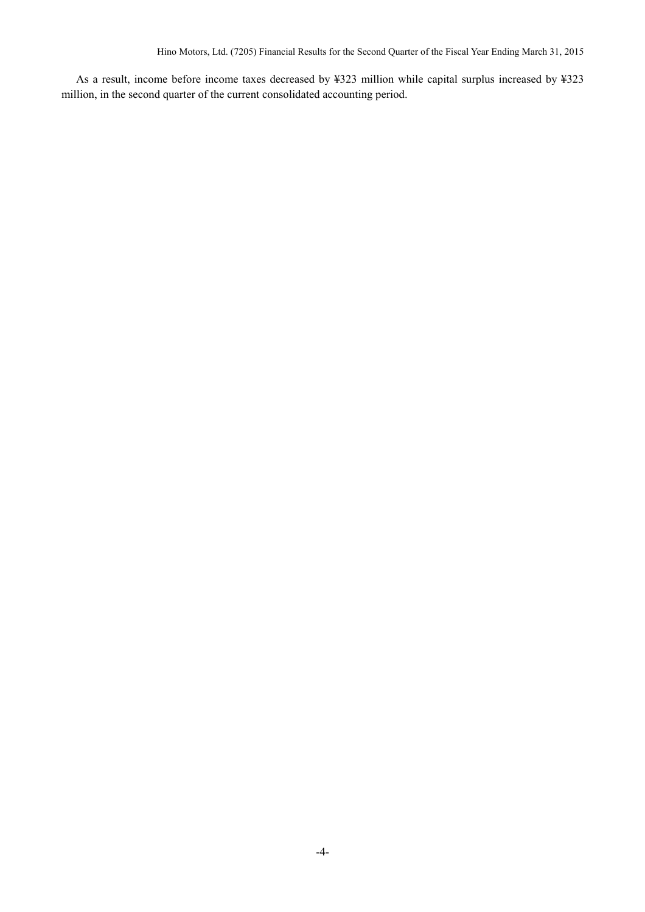As a result, income before income taxes decreased by ¥323 million while capital surplus increased by ¥323 million, in the second quarter of the current consolidated accounting period.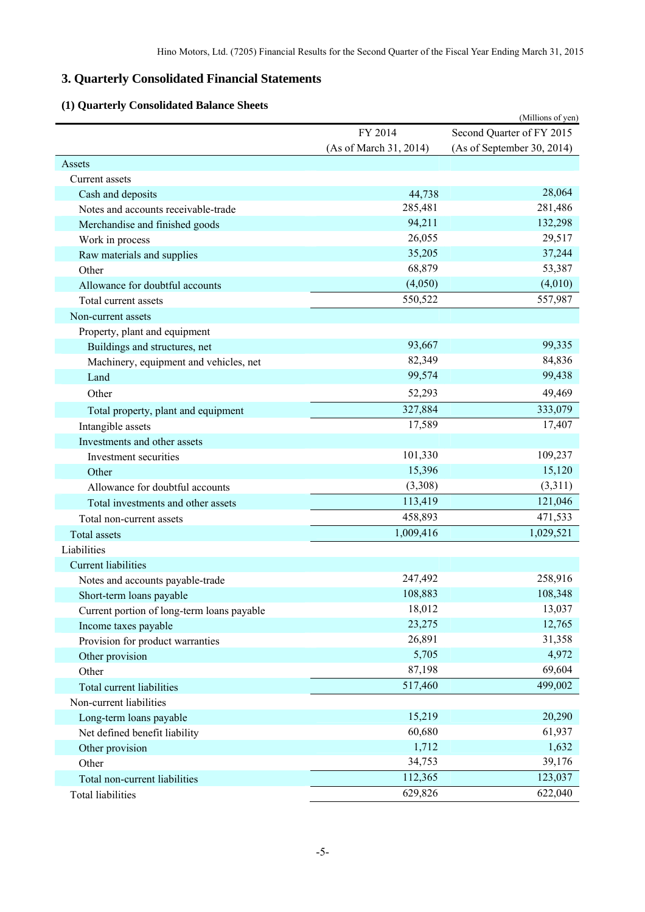# <span id="page-7-0"></span>**3. Quarterly Consolidated Financial Statements**

# **(1) Quarterly Consolidated Balance Sheets**

<span id="page-7-1"></span>

| Vaarterry Consonaated Dalance              |                        | (Millions of yen)          |
|--------------------------------------------|------------------------|----------------------------|
|                                            | FY 2014                | Second Quarter of FY 2015  |
|                                            | (As of March 31, 2014) | (As of September 30, 2014) |
| Assets                                     |                        |                            |
| Current assets                             |                        |                            |
| Cash and deposits                          | 44,738                 | 28,064                     |
| Notes and accounts receivable-trade        | 285,481                | 281,486                    |
| Merchandise and finished goods             | 94,211                 | 132,298                    |
| Work in process                            | 26,055                 | 29,517                     |
| Raw materials and supplies                 | 35,205                 | 37,244                     |
| Other                                      | 68,879                 | 53,387                     |
| Allowance for doubtful accounts            | (4,050)                | (4,010)                    |
| Total current assets                       | 550,522                | 557,987                    |
| Non-current assets                         |                        |                            |
| Property, plant and equipment              |                        |                            |
| Buildings and structures, net              | 93,667                 | 99,335                     |
| Machinery, equipment and vehicles, net     | 82,349                 | 84,836                     |
| Land                                       | 99,574                 | 99,438                     |
| Other                                      | 52,293                 | 49,469                     |
| Total property, plant and equipment        | 327,884                | 333,079                    |
| Intangible assets                          | 17,589                 | 17,407                     |
| Investments and other assets               |                        |                            |
| Investment securities                      | 101,330                | 109,237                    |
| Other                                      | 15,396                 | 15,120                     |
| Allowance for doubtful accounts            | (3,308)                | (3,311)                    |
| Total investments and other assets         | 113,419                | 121,046                    |
| Total non-current assets                   | 458,893                | 471,533                    |
| Total assets                               | 1,009,416              | 1,029,521                  |
| Liabilities                                |                        |                            |
| <b>Current liabilities</b>                 |                        |                            |
| Notes and accounts payable-trade           | 247,492                | 258,916                    |
| Short-term loans payable                   | 108,883                | 108,348                    |
| Current portion of long-term loans payable | 18,012                 | 13,037                     |
| Income taxes payable                       | 23,275                 | 12,765                     |
| Provision for product warranties           | 26,891                 | 31,358                     |
| Other provision                            | 5,705                  | 4,972                      |
| Other                                      | 87,198                 | 69,604                     |
| Total current liabilities                  | 517,460                | 499,002                    |
| Non-current liabilities                    |                        |                            |
| Long-term loans payable                    | 15,219                 | 20,290                     |
| Net defined benefit liability              | 60,680                 | 61,937                     |
| Other provision                            | 1,712                  | 1,632                      |
| Other                                      | 34,753                 | 39,176                     |
| Total non-current liabilities              | 112,365                | 123,037                    |
| <b>Total liabilities</b>                   | 629,826                | 622,040                    |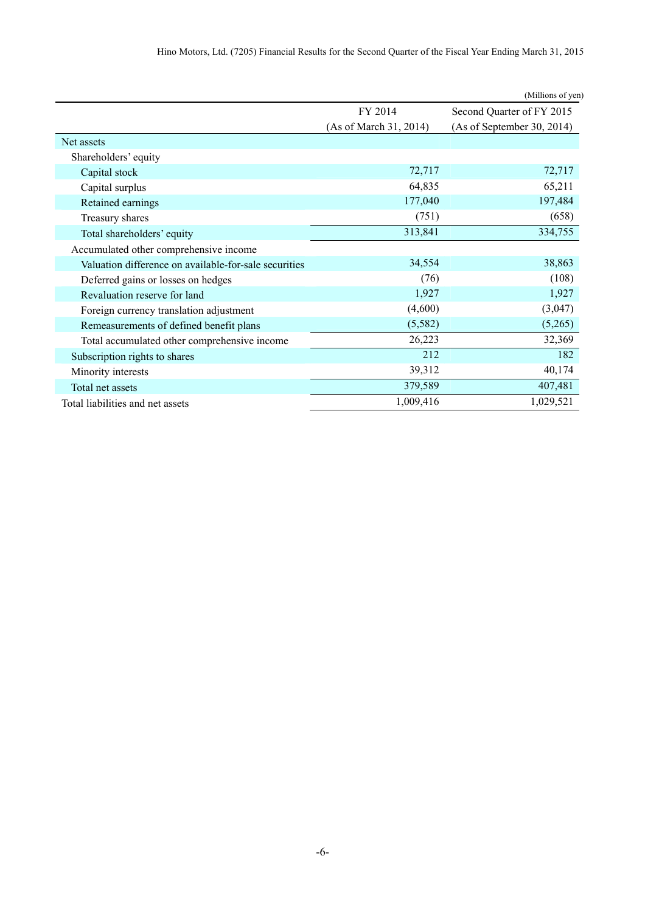| Hino Motors, Ltd. (7205) Financial Results for the Second Quarter of the Fiscal Year Ending March 31, 2015 |  |
|------------------------------------------------------------------------------------------------------------|--|
|------------------------------------------------------------------------------------------------------------|--|

|                                                       |                        | (Millions of yen)          |  |
|-------------------------------------------------------|------------------------|----------------------------|--|
|                                                       | FY 2014                | Second Quarter of FY 2015  |  |
|                                                       | (As of March 31, 2014) | (As of September 30, 2014) |  |
| Net assets                                            |                        |                            |  |
| Shareholders' equity                                  |                        |                            |  |
| Capital stock                                         | 72,717                 | 72,717                     |  |
| Capital surplus                                       | 64,835                 | 65,211                     |  |
| Retained earnings                                     | 177,040                | 197,484                    |  |
| Treasury shares                                       | (751)                  | (658)                      |  |
| Total shareholders' equity                            | 313,841                | 334,755                    |  |
| Accumulated other comprehensive income                |                        |                            |  |
| Valuation difference on available-for-sale securities | 34,554                 | 38,863                     |  |
| Deferred gains or losses on hedges                    | (76)                   | (108)                      |  |
| Revaluation reserve for land                          | 1,927                  | 1,927                      |  |
| Foreign currency translation adjustment               | (4,600)                | (3,047)                    |  |
| Remeasurements of defined benefit plans               | (5,582)                | (5,265)                    |  |
| Total accumulated other comprehensive income          | 26,223                 | 32,369                     |  |
| Subscription rights to shares                         | 212                    | 182                        |  |
| Minority interests                                    | 39,312                 | 40,174                     |  |
| Total net assets                                      | 379,589                | 407,481                    |  |
| Total liabilities and net assets                      | 1,009,416              | 1,029,521                  |  |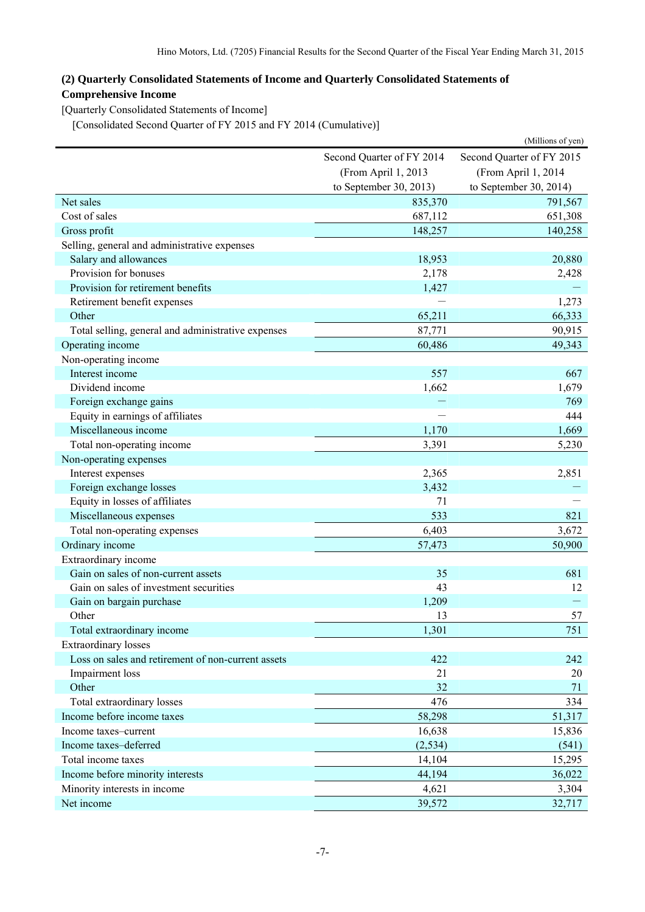# <span id="page-9-0"></span>**(2) Quarterly Consolidated Statements of Income and Quarterly Consolidated Statements of Comprehensive Income**

<span id="page-9-1"></span>[Quarterly Consolidated Statements of Income]

[Consolidated Second Quarter of FY 2015 and FY 2014 (Cumulative)]

<span id="page-9-2"></span>

|                                                    |                           | (Millions of yen)         |  |
|----------------------------------------------------|---------------------------|---------------------------|--|
|                                                    | Second Quarter of FY 2014 | Second Quarter of FY 2015 |  |
|                                                    | (From April 1, 2013       | (From April 1, 2014       |  |
|                                                    | to September 30, 2013)    | to September 30, 2014)    |  |
| Net sales                                          | 835,370                   | 791,567                   |  |
| Cost of sales                                      | 687,112                   | 651,308                   |  |
| Gross profit                                       | 148,257                   | 140,258                   |  |
| Selling, general and administrative expenses       |                           |                           |  |
| Salary and allowances                              | 18,953                    | 20,880                    |  |
| Provision for bonuses                              | 2,178                     | 2,428                     |  |
| Provision for retirement benefits                  | 1,427                     |                           |  |
| Retirement benefit expenses                        |                           | 1,273                     |  |
| Other                                              | 65,211                    | 66,333                    |  |
| Total selling, general and administrative expenses | 87,771                    | 90,915                    |  |
| Operating income                                   | 60,486                    | 49,343                    |  |
| Non-operating income                               |                           |                           |  |
| Interest income                                    | 557                       | 667                       |  |
| Dividend income                                    | 1,662                     | 1,679                     |  |
| Foreign exchange gains                             |                           | 769                       |  |
| Equity in earnings of affiliates                   |                           | 444                       |  |
| Miscellaneous income                               | 1,170                     | 1,669                     |  |
| Total non-operating income                         | 3,391                     | 5,230                     |  |
| Non-operating expenses                             |                           |                           |  |
| Interest expenses                                  | 2,365                     | 2,851                     |  |
| Foreign exchange losses                            | 3,432                     |                           |  |
| Equity in losses of affiliates                     | 71                        |                           |  |
| Miscellaneous expenses                             | 533                       | 821                       |  |
| Total non-operating expenses                       | 6,403                     | 3,672                     |  |
| Ordinary income                                    | 57,473                    | 50,900                    |  |
| Extraordinary income                               |                           |                           |  |
| Gain on sales of non-current assets                | 35                        | 681                       |  |
| Gain on sales of investment securities             | 43                        | 12                        |  |
| Gain on bargain purchase                           | 1,209                     |                           |  |
| Other                                              | 13                        | 57                        |  |
| Total extraordinary income                         | 1,301                     | 751                       |  |
| <b>Extraordinary losses</b>                        |                           |                           |  |
| Loss on sales and retirement of non-current assets | 422                       | 242                       |  |
| Impairment loss                                    | 21                        | 20                        |  |
| Other                                              | 32                        | 71                        |  |
| Total extraordinary losses                         | 476                       | 334                       |  |
| Income before income taxes                         | 58,298                    | 51,317                    |  |
| Income taxes-current                               | 16,638                    | 15,836                    |  |
| Income taxes-deferred                              | (2, 534)                  | (541)                     |  |
| Total income taxes                                 | 14,104                    | 15,295                    |  |
| Income before minority interests                   | 44,194                    | 36,022                    |  |
| Minority interests in income                       | 4,621                     | 3,304                     |  |
| Net income                                         | 39,572                    | 32,717                    |  |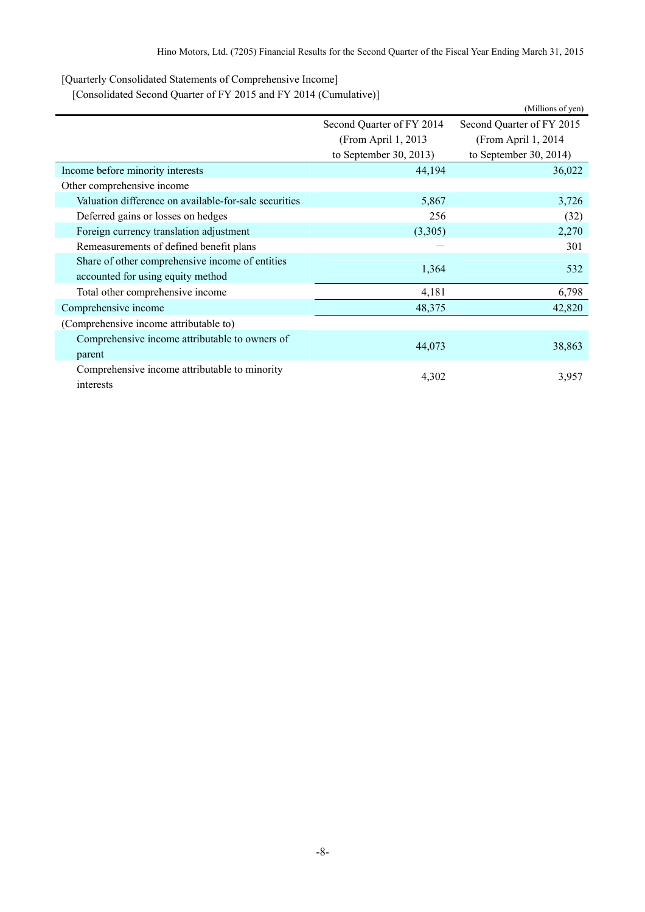<span id="page-10-0"></span>[Quarterly Consolidated Statements of Comprehensive Income]

[Consolidated Second Quarter of FY 2015 and FY 2014 (Cumulative)]

<span id="page-10-1"></span>

|                                                       |                                              | (Millions of yen)         |  |
|-------------------------------------------------------|----------------------------------------------|---------------------------|--|
|                                                       | Second Quarter of FY 2014                    | Second Quarter of FY 2015 |  |
|                                                       | (From April 1, 2013)<br>(From April 1, 2014) |                           |  |
|                                                       | to September 30, 2013)                       | to September 30, 2014)    |  |
| Income before minority interests                      | 44,194                                       | 36,022                    |  |
| Other comprehensive income                            |                                              |                           |  |
| Valuation difference on available-for-sale securities | 5,867                                        | 3,726                     |  |
| Deferred gains or losses on hedges                    | 256                                          | (32)                      |  |
| Foreign currency translation adjustment               | (3,305)                                      | 2,270                     |  |
| Remeasurements of defined benefit plans               |                                              | 301                       |  |
| Share of other comprehensive income of entities       | 1,364                                        | 532                       |  |
| accounted for using equity method                     |                                              |                           |  |
| Total other comprehensive income                      | 4,181                                        | 6,798                     |  |
| Comprehensive income                                  | 48,375                                       | 42,820                    |  |
| (Comprehensive income attributable to)                |                                              |                           |  |
| Comprehensive income attributable to owners of        | 44,073                                       | 38,863                    |  |
| parent                                                |                                              |                           |  |
| Comprehensive income attributable to minority         | 4,302                                        | 3,957                     |  |
| interests                                             |                                              |                           |  |